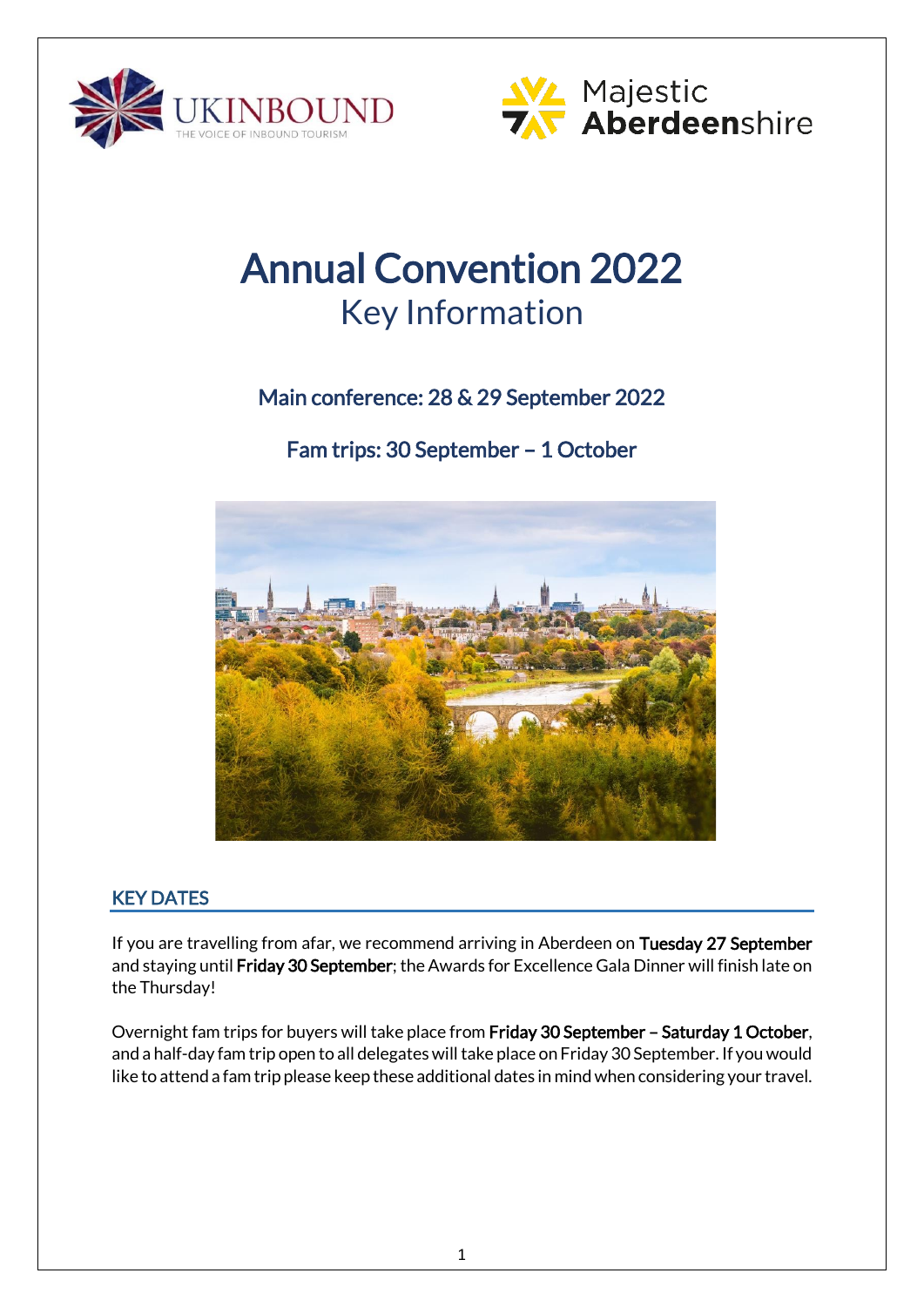



# Annual Convention 2022 Key Information

## Main conference: 28 & 29 September 2022

Fam trips: 30 September – 1 October



## KEY DATES

If you are travelling from afar, we recommend arriving in Aberdeen on Tuesday 27 September and staying until Friday 30 September; the Awards for Excellence Gala Dinner will finish late on the Thursday!

Overnight fam trips for buyers will take place from Friday 30 September – Saturday 1 October, and a half-day fam trip open to all delegates will take place on Friday 30 September. If you would like to attend a fam trip please keep these additional dates in mind when considering your travel.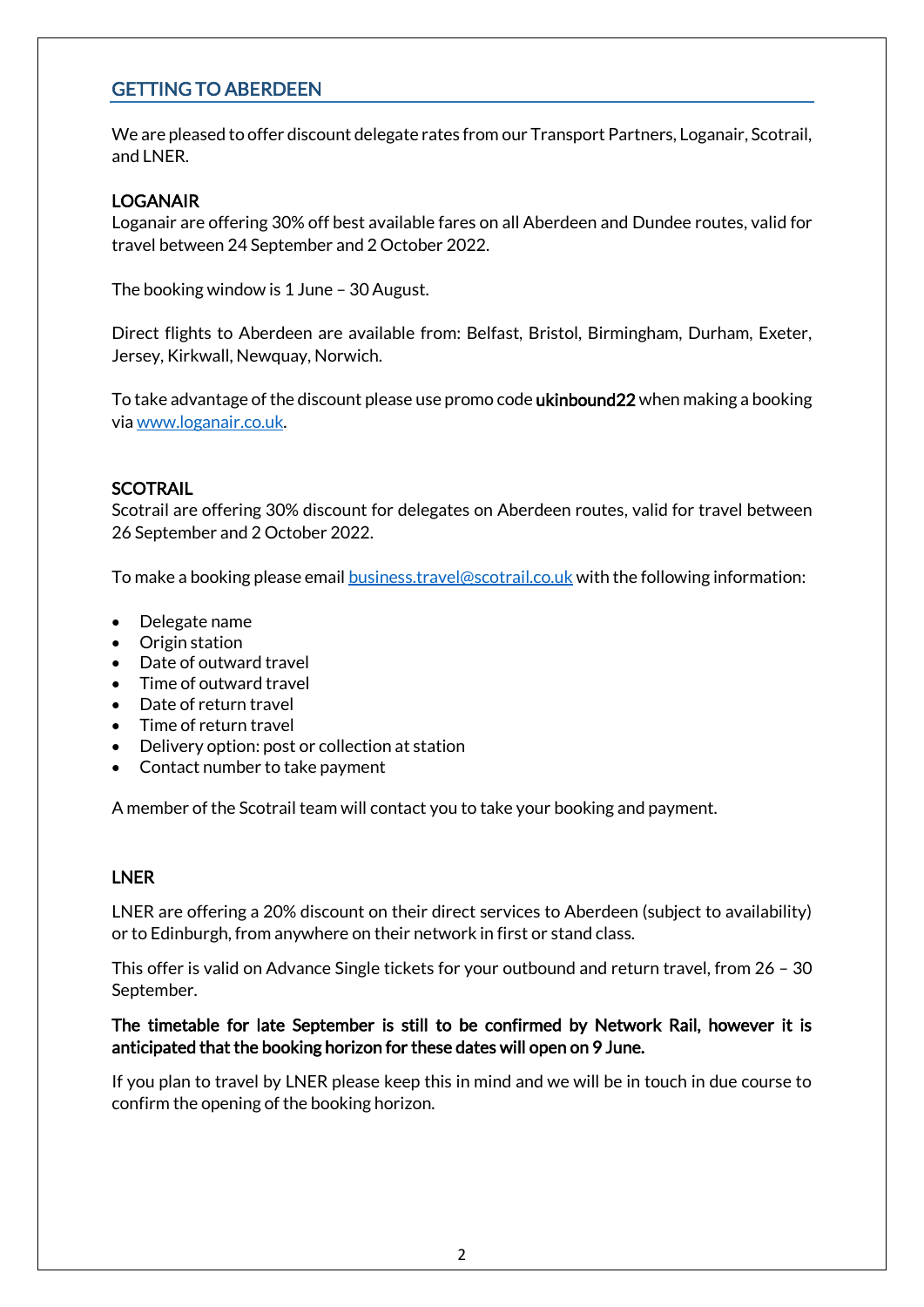## GETTING TO ABERDEEN

We are pleased to offer discount delegate rates from our Transport Partners, Loganair, Scotrail, and LNER.

#### LOGANAIR

Loganair are offering 30% off best available fares on all Aberdeen and Dundee routes, valid for travel between 24 September and 2 October 2022.

The booking window is 1 June – 30 August.

Direct flights to Aberdeen are available from: Belfast, Bristol, Birmingham, Durham, Exeter, Jersey, Kirkwall, Newquay, Norwich.

To take advantage of the discount please use promo code **ukinbound22** when making a booking vi[a www.loganair.co.uk.](http://www.loganair.co.uk/)

#### **SCOTRAIL**

Scotrail are offering 30% discount for delegates on Aberdeen routes, valid for travel between 26 September and 2 October 2022.

To make a booking please email **business.travel@scotrail.co.uk** with the following information:

- Delegate name
- Origin station
- Date of outward travel
- Time of outward travel
- Date of return travel
- Time of return travel
- Delivery option: post or collection at station
- Contact number to take payment

A member of the Scotrail team will contact you to take your booking and payment.

#### LNER

LNER are offering a 20% discount on their direct services to Aberdeen (subject to availability) or to Edinburgh, from anywhere on their network in first or stand class.

This offer is valid on Advance Single tickets for your outbound and return travel, from 26 – 30 September.

#### The timetable for late September is still to be confirmed by Network Rail, however it is anticipated that the booking horizon for these dates will open on 9 June.

If you plan to travel by LNER please keep this in mind and we will be in touch in due course to confirm the opening of the booking horizon.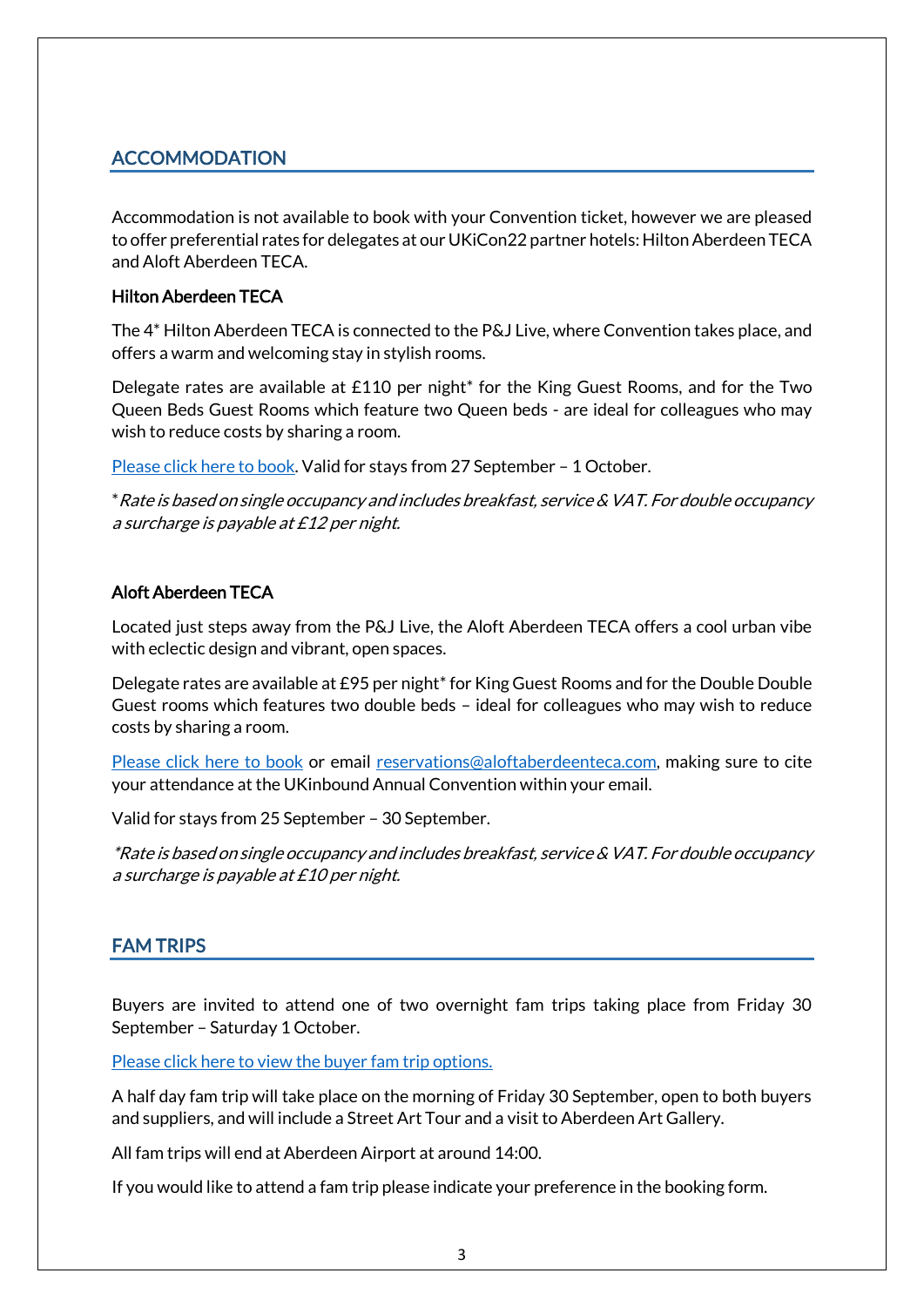## **ACCOMMODATION**

Accommodation is not available to book with your Convention ticket, however we are pleased to offer preferential rates for delegates at our UKiCon22 partner hotels: Hilton Aberdeen TECA and Aloft Aberdeen TECA.

#### Hilton Aberdeen TECA

The 4\* Hilton Aberdeen TECA is connected to the P&J Live, where Convention takes place, and offers a warm and welcoming stay in stylish rooms.

Delegate rates are available at £110 per night\* for the King Guest Rooms, and for the Two Queen Beds Guest Rooms which feature two Queen beds - are ideal for colleagues who may wish to reduce costs by sharing a room.

[Please click here to book.](https://www.hilton.com/en/book/reservation/deeplink/?ctyhocn=ABZECHI&groupCode=GUKIB&arrivaldate=2022-09-27&departuredate=2022-10-01&cid=OM,WW,HILTONLINK,EN,DirectLink&fromId=HILTONLINKDIRECT) Valid for stays from 27 September – 1 October.

\*Rate is based on single occupancy and includes breakfast, service & VAT. For double occupancy a surcharge is payable at £12 per night.

### Aloft Aberdeen TECA

Located just steps away from the P&J Live, the Aloft Aberdeen TECA offers a cool urban vibe with eclectic design and vibrant, open spaces.

Delegate rates are available at £95 per night<sup>\*</sup> for King Guest Rooms and for the Double Double Guest rooms which features two double beds – ideal for colleagues who may wish to reduce costs by sharing a room.

[Please click here to book](https://www.marriott.com/event-reservations/reservation-link.mi?id=1653904632220&key=GRP&app=resvlink) or email [reservations@aloftaberdeenteca.com,](mailto:reservations@aloftaberdeenteca.com) making sure to cite your attendance at the UKinbound Annual Convention within your email.

Valid for stays from 25 September – 30 September.

\*Rate is based on single occupancy and includes breakfast, service & VAT. For double occupancy a surcharge is payable at £10 per night.

## FAM TRIPS

Buyers are invited to attend one of two overnight fam trips taking place from Friday 30 September – Saturday 1 October.

[Please click here to view the buyer fam trip options.](https://www.ukinbound.org/wp-content/uploads/2022/06/UKiCon22-Fam-Trip-Options.pdf)

A half day fam trip will take place on the morning of Friday 30 September, open to both buyers and suppliers, and will include a Street Art Tour and a visit to Aberdeen Art Gallery.

All fam trips will end at Aberdeen Airport at around 14:00.

If you would like to attend a fam trip please indicate your preference in the booking form.